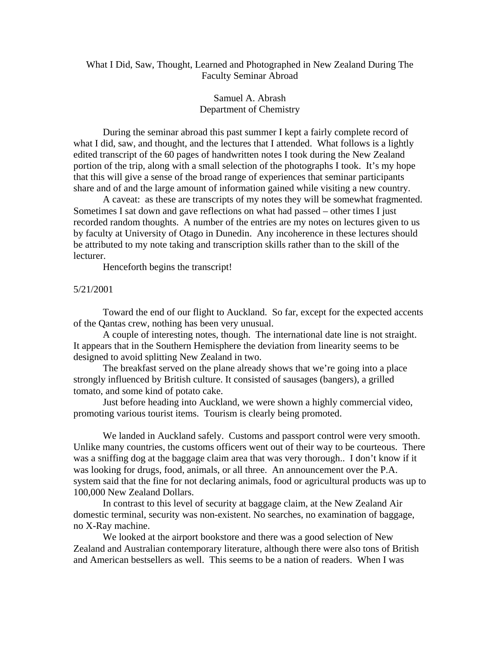# What I Did, Saw, Thought, Learned and Photographed in New Zealand During The Faculty Seminar Abroad

# Samuel A. Abrash Department of Chemistry

 During the seminar abroad this past summer I kept a fairly complete record of what I did, saw, and thought, and the lectures that I attended. What follows is a lightly edited transcript of the 60 pages of handwritten notes I took during the New Zealand portion of the trip, along with a small selection of the photographs I took. It's my hope that this will give a sense of the broad range of experiences that seminar participants share and of and the large amount of information gained while visiting a new country.

 A caveat: as these are transcripts of my notes they will be somewhat fragmented. Sometimes I sat down and gave reflections on what had passed – other times I just recorded random thoughts. A number of the entries are my notes on lectures given to us by faculty at University of Otago in Dunedin. Any incoherence in these lectures should be attributed to my note taking and transcription skills rather than to the skill of the lecturer.

Henceforth begins the transcript!

### 5/21/2001

 Toward the end of our flight to Auckland. So far, except for the expected accents of the Qantas crew, nothing has been very unusual.

 A couple of interesting notes, though. The international date line is not straight. It appears that in the Southern Hemisphere the deviation from linearity seems to be designed to avoid splitting New Zealand in two.

 The breakfast served on the plane already shows that we're going into a place strongly influenced by British culture. It consisted of sausages (bangers), a grilled tomato, and some kind of potato cake.

 Just before heading into Auckland, we were shown a highly commercial video, promoting various tourist items. Tourism is clearly being promoted.

 We landed in Auckland safely. Customs and passport control were very smooth. Unlike many countries, the customs officers went out of their way to be courteous. There was a sniffing dog at the baggage claim area that was very thorough.. I don't know if it was looking for drugs, food, animals, or all three. An announcement over the P.A. system said that the fine for not declaring animals, food or agricultural products was up to 100,000 New Zealand Dollars.

 In contrast to this level of security at baggage claim, at the New Zealand Air domestic terminal, security was non-existent. No searches, no examination of baggage, no X-Ray machine.

 We looked at the airport bookstore and there was a good selection of New Zealand and Australian contemporary literature, although there were also tons of British and American bestsellers as well. This seems to be a nation of readers. When I was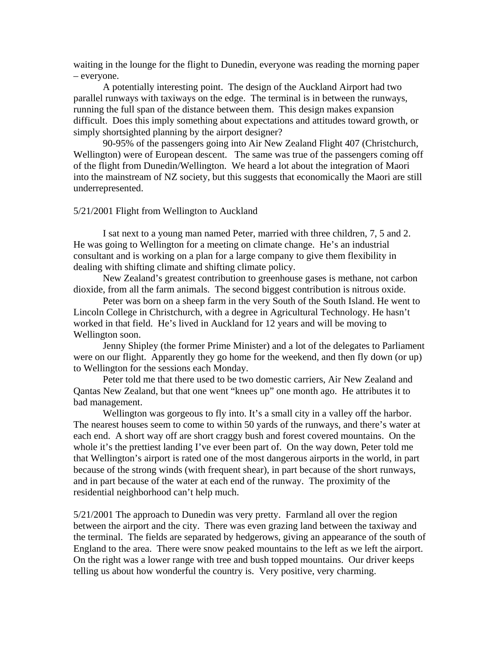waiting in the lounge for the flight to Dunedin, everyone was reading the morning paper – everyone.

 A potentially interesting point. The design of the Auckland Airport had two parallel runways with taxiways on the edge. The terminal is in between the runways, running the full span of the distance between them. This design makes expansion difficult. Does this imply something about expectations and attitudes toward growth, or simply shortsighted planning by the airport designer?

 90-95% of the passengers going into Air New Zealand Flight 407 (Christchurch, Wellington) were of European descent. The same was true of the passengers coming off of the flight from Dunedin/Wellington. We heard a lot about the integration of Maori into the mainstream of NZ society, but this suggests that economically the Maori are still underrepresented.

### 5/21/2001 Flight from Wellington to Auckland

 I sat next to a young man named Peter, married with three children, 7, 5 and 2. He was going to Wellington for a meeting on climate change. He's an industrial consultant and is working on a plan for a large company to give them flexibility in dealing with shifting climate and shifting climate policy.

 New Zealand's greatest contribution to greenhouse gases is methane, not carbon dioxide, from all the farm animals. The second biggest contribution is nitrous oxide.

 Peter was born on a sheep farm in the very South of the South Island. He went to Lincoln College in Christchurch, with a degree in Agricultural Technology. He hasn't worked in that field. He's lived in Auckland for 12 years and will be moving to Wellington soon.

 Jenny Shipley (the former Prime Minister) and a lot of the delegates to Parliament were on our flight. Apparently they go home for the weekend, and then fly down (or up) to Wellington for the sessions each Monday.

 Peter told me that there used to be two domestic carriers, Air New Zealand and Qantas New Zealand, but that one went "knees up" one month ago. He attributes it to bad management.

Wellington was gorgeous to fly into. It's a small city in a valley off the harbor. The nearest houses seem to come to within 50 yards of the runways, and there's water at each end. A short way off are short craggy bush and forest covered mountains. On the whole it's the prettiest landing I've ever been part of. On the way down, Peter told me that Wellington's airport is rated one of the most dangerous airports in the world, in part because of the strong winds (with frequent shear), in part because of the short runways, and in part because of the water at each end of the runway. The proximity of the residential neighborhood can't help much.

5/21/2001 The approach to Dunedin was very pretty. Farmland all over the region between the airport and the city. There was even grazing land between the taxiway and the terminal. The fields are separated by hedgerows, giving an appearance of the south of England to the area. There were snow peaked mountains to the left as we left the airport. On the right was a lower range with tree and bush topped mountains. Our driver keeps telling us about how wonderful the country is. Very positive, very charming.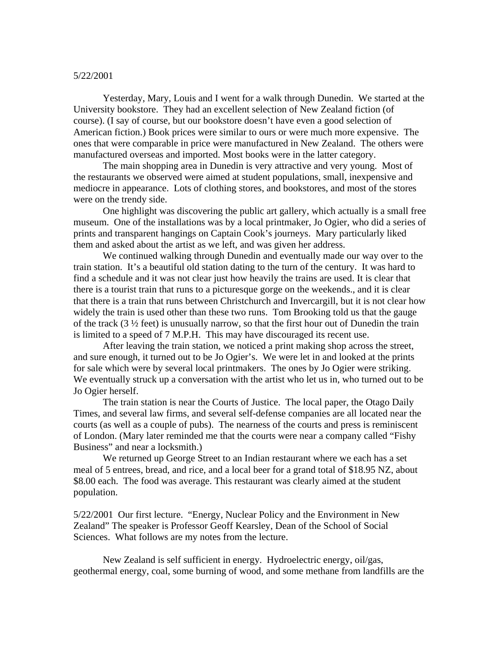#### 5/22/2001

 Yesterday, Mary, Louis and I went for a walk through Dunedin. We started at the University bookstore. They had an excellent selection of New Zealand fiction (of course). (I say of course, but our bookstore doesn't have even a good selection of American fiction.) Book prices were similar to ours or were much more expensive. The ones that were comparable in price were manufactured in New Zealand. The others were manufactured overseas and imported. Most books were in the latter category.

 The main shopping area in Dunedin is very attractive and very young. Most of the restaurants we observed were aimed at student populations, small, inexpensive and mediocre in appearance. Lots of clothing stores, and bookstores, and most of the stores were on the trendy side.

 One highlight was discovering the public art gallery, which actually is a small free museum. One of the installations was by a local printmaker, Jo Ogier, who did a series of prints and transparent hangings on Captain Cook's journeys. Mary particularly liked them and asked about the artist as we left, and was given her address.

 We continued walking through Dunedin and eventually made our way over to the train station. It's a beautiful old station dating to the turn of the century. It was hard to find a schedule and it was not clear just how heavily the trains are used. It is clear that there is a tourist train that runs to a picturesque gorge on the weekends., and it is clear that there is a train that runs between Christchurch and Invercargill, but it is not clear how widely the train is used other than these two runs. Tom Brooking told us that the gauge of the track (3 ½ feet) is unusually narrow, so that the first hour out of Dunedin the train is limited to a speed of 7 M.P.H. This may have discouraged its recent use.

 After leaving the train station, we noticed a print making shop across the street, and sure enough, it turned out to be Jo Ogier's. We were let in and looked at the prints for sale which were by several local printmakers. The ones by Jo Ogier were striking. We eventually struck up a conversation with the artist who let us in, who turned out to be Jo Ogier herself.

 The train station is near the Courts of Justice. The local paper, the Otago Daily Times, and several law firms, and several self-defense companies are all located near the courts (as well as a couple of pubs). The nearness of the courts and press is reminiscent of London. (Mary later reminded me that the courts were near a company called "Fishy Business" and near a locksmith.)

 We returned up George Street to an Indian restaurant where we each has a set meal of 5 entrees, bread, and rice, and a local beer for a grand total of \$18.95 NZ, about \$8.00 each. The food was average. This restaurant was clearly aimed at the student population.

5/22/2001 Our first lecture. "Energy, Nuclear Policy and the Environment in New Zealand" The speaker is Professor Geoff Kearsley, Dean of the School of Social Sciences. What follows are my notes from the lecture.

 New Zealand is self sufficient in energy. Hydroelectric energy, oil/gas, geothermal energy, coal, some burning of wood, and some methane from landfills are the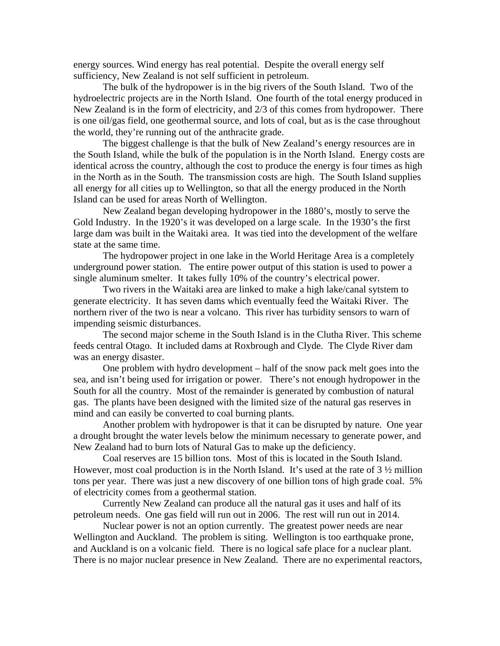energy sources. Wind energy has real potential. Despite the overall energy self sufficiency, New Zealand is not self sufficient in petroleum.

 The bulk of the hydropower is in the big rivers of the South Island. Two of the hydroelectric projects are in the North Island. One fourth of the total energy produced in New Zealand is in the form of electricity, and 2/3 of this comes from hydropower. There is one oil/gas field, one geothermal source, and lots of coal, but as is the case throughout the world, they're running out of the anthracite grade.

 The biggest challenge is that the bulk of New Zealand's energy resources are in the South Island, while the bulk of the population is in the North Island. Energy costs are identical across the country, although the cost to produce the energy is four times as high in the North as in the South. The transmission costs are high. The South Island supplies all energy for all cities up to Wellington, so that all the energy produced in the North Island can be used for areas North of Wellington.

 New Zealand began developing hydropower in the 1880's, mostly to serve the Gold Industry. In the 1920's it was developed on a large scale. In the 1930's the first large dam was built in the Waitaki area. It was tied into the development of the welfare state at the same time.

 The hydropower project in one lake in the World Heritage Area is a completely underground power station. The entire power output of this station is used to power a single aluminum smelter. It takes fully 10% of the country's electrical power.

 Two rivers in the Waitaki area are linked to make a high lake/canal sytstem to generate electricity. It has seven dams which eventually feed the Waitaki River. The northern river of the two is near a volcano. This river has turbidity sensors to warn of impending seismic disturbances.

 The second major scheme in the South Island is in the Clutha River. This scheme feeds central Otago. It included dams at Roxbrough and Clyde. The Clyde River dam was an energy disaster.

 One problem with hydro development – half of the snow pack melt goes into the sea, and isn't being used for irrigation or power. There's not enough hydropower in the South for all the country. Most of the remainder is generated by combustion of natural gas. The plants have been designed with the limited size of the natural gas reserves in mind and can easily be converted to coal burning plants.

 Another problem with hydropower is that it can be disrupted by nature. One year a drought brought the water levels below the minimum necessary to generate power, and New Zealand had to burn lots of Natural Gas to make up the deficiency.

 Coal reserves are 15 billion tons. Most of this is located in the South Island. However, most coal production is in the North Island. It's used at the rate of  $3\frac{1}{2}$  million tons per year. There was just a new discovery of one billion tons of high grade coal. 5% of electricity comes from a geothermal station.

 Currently New Zealand can produce all the natural gas it uses and half of its petroleum needs. One gas field will run out in 2006. The rest will run out in 2014.

 Nuclear power is not an option currently. The greatest power needs are near Wellington and Auckland. The problem is siting. Wellington is too earthquake prone, and Auckland is on a volcanic field. There is no logical safe place for a nuclear plant. There is no major nuclear presence in New Zealand. There are no experimental reactors,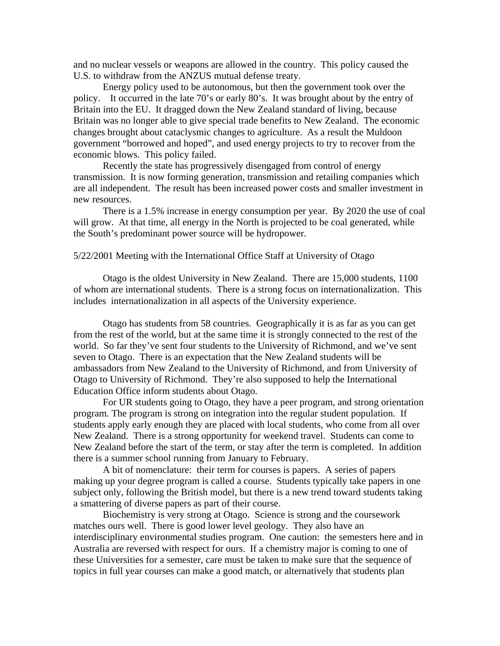and no nuclear vessels or weapons are allowed in the country. This policy caused the U.S. to withdraw from the ANZUS mutual defense treaty.

 Energy policy used to be autonomous, but then the government took over the policy. It occurred in the late 70's or early 80's. It was brought about by the entry of Britain into the EU. It dragged down the New Zealand standard of living, because Britain was no longer able to give special trade benefits to New Zealand. The economic changes brought about cataclysmic changes to agriculture. As a result the Muldoon government "borrowed and hoped", and used energy projects to try to recover from the economic blows. This policy failed.

 Recently the state has progressively disengaged from control of energy transmission. It is now forming generation, transmission and retailing companies which are all independent. The result has been increased power costs and smaller investment in new resources.

 There is a 1.5% increase in energy consumption per year. By 2020 the use of coal will grow. At that time, all energy in the North is projected to be coal generated, while the South's predominant power source will be hydropower.

#### 5/22/2001 Meeting with the International Office Staff at University of Otago

 Otago is the oldest University in New Zealand. There are 15,000 students, 1100 of whom are international students. There is a strong focus on internationalization. This includes internationalization in all aspects of the University experience.

 Otago has students from 58 countries. Geographically it is as far as you can get from the rest of the world, but at the same time it is strongly connected to the rest of the world. So far they've sent four students to the University of Richmond, and we've sent seven to Otago. There is an expectation that the New Zealand students will be ambassadors from New Zealand to the University of Richmond, and from University of Otago to University of Richmond. They're also supposed to help the International Education Office inform students about Otago.

 For UR students going to Otago, they have a peer program, and strong orientation program. The program is strong on integration into the regular student population. If students apply early enough they are placed with local students, who come from all over New Zealand. There is a strong opportunity for weekend travel. Students can come to New Zealand before the start of the term, or stay after the term is completed. In addition there is a summer school running from January to February.

 A bit of nomenclature: their term for courses is papers. A series of papers making up your degree program is called a course. Students typically take papers in one subject only, following the British model, but there is a new trend toward students taking a smattering of diverse papers as part of their course.

 Biochemistry is very strong at Otago. Science is strong and the coursework matches ours well. There is good lower level geology. They also have an interdisciplinary environmental studies program. One caution: the semesters here and in Australia are reversed with respect for ours. If a chemistry major is coming to one of these Universities for a semester, care must be taken to make sure that the sequence of topics in full year courses can make a good match, or alternatively that students plan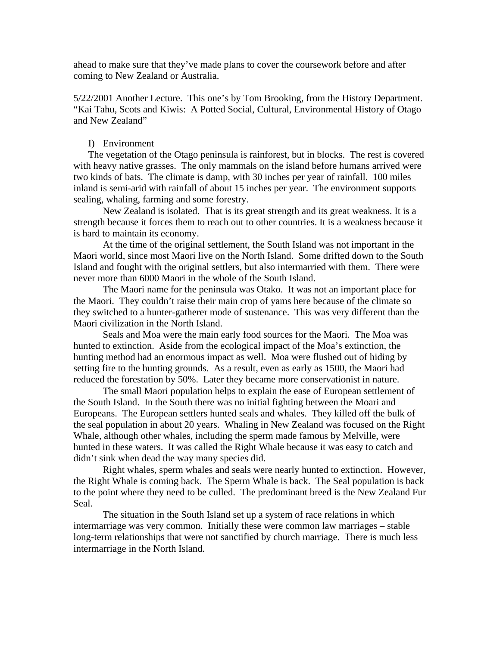ahead to make sure that they've made plans to cover the coursework before and after coming to New Zealand or Australia.

5/22/2001 Another Lecture. This one's by Tom Brooking, from the History Department. "Kai Tahu, Scots and Kiwis: A Potted Social, Cultural, Environmental History of Otago and New Zealand"

## I) Environment

The vegetation of the Otago peninsula is rainforest, but in blocks. The rest is covered with heavy native grasses. The only mammals on the island before humans arrived were two kinds of bats. The climate is damp, with 30 inches per year of rainfall. 100 miles inland is semi-arid with rainfall of about 15 inches per year. The environment supports sealing, whaling, farming and some forestry.

 New Zealand is isolated. That is its great strength and its great weakness. It is a strength because it forces them to reach out to other countries. It is a weakness because it is hard to maintain its economy.

 At the time of the original settlement, the South Island was not important in the Maori world, since most Maori live on the North Island. Some drifted down to the South Island and fought with the original settlers, but also intermarried with them. There were never more than 6000 Maori in the whole of the South Island.

The Maori name for the peninsula was Otako. It was not an important place for the Maori. They couldn't raise their main crop of yams here because of the climate so they switched to a hunter-gatherer mode of sustenance. This was very different than the Maori civilization in the North Island.

Seals and Moa were the main early food sources for the Maori. The Moa was hunted to extinction. Aside from the ecological impact of the Moa's extinction, the hunting method had an enormous impact as well. Moa were flushed out of hiding by setting fire to the hunting grounds. As a result, even as early as 1500, the Maori had reduced the forestation by 50%. Later they became more conservationist in nature.

The small Maori population helps to explain the ease of European settlement of the South Island. In the South there was no initial fighting between the Moari and Europeans. The European settlers hunted seals and whales. They killed off the bulk of the seal population in about 20 years. Whaling in New Zealand was focused on the Right Whale, although other whales, including the sperm made famous by Melville, were hunted in these waters. It was called the Right Whale because it was easy to catch and didn't sink when dead the way many species did.

Right whales, sperm whales and seals were nearly hunted to extinction. However, the Right Whale is coming back. The Sperm Whale is back. The Seal population is back to the point where they need to be culled. The predominant breed is the New Zealand Fur Seal.

The situation in the South Island set up a system of race relations in which intermarriage was very common. Initially these were common law marriages – stable long-term relationships that were not sanctified by church marriage. There is much less intermarriage in the North Island.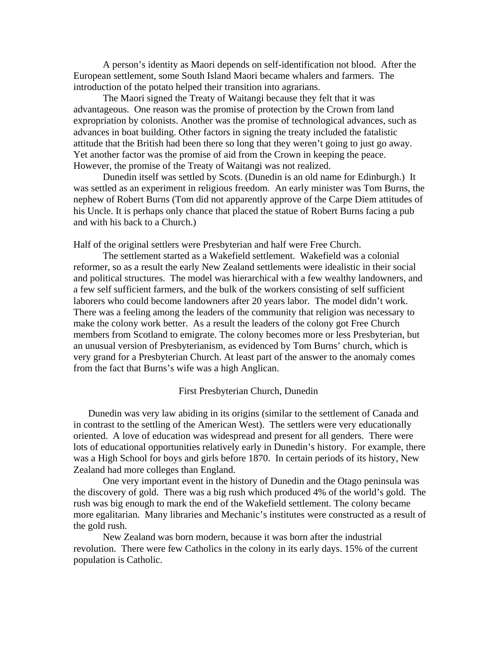A person's identity as Maori depends on self-identification not blood. After the European settlement, some South Island Maori became whalers and farmers. The introduction of the potato helped their transition into agrarians.

The Maori signed the Treaty of Waitangi because they felt that it was advantageous. One reason was the promise of protection by the Crown from land expropriation by colonists. Another was the promise of technological advances, such as advances in boat building. Other factors in signing the treaty included the fatalistic attitude that the British had been there so long that they weren't going to just go away. Yet another factor was the promise of aid from the Crown in keeping the peace. However, the promise of the Treaty of Waitangi was not realized.

Dunedin itself was settled by Scots. (Dunedin is an old name for Edinburgh.) It was settled as an experiment in religious freedom. An early minister was Tom Burns, the nephew of Robert Burns (Tom did not apparently approve of the Carpe Diem attitudes of his Uncle. It is perhaps only chance that placed the statue of Robert Burns facing a pub and with his back to a Church.)

Half of the original settlers were Presbyterian and half were Free Church.

The settlement started as a Wakefield settlement. Wakefield was a colonial reformer, so as a result the early New Zealand settlements were idealistic in their social and political structures. The model was hierarchical with a few wealthy landowners, and a few self sufficient farmers, and the bulk of the workers consisting of self sufficient laborers who could become landowners after 20 years labor. The model didn't work. There was a feeling among the leaders of the community that religion was necessary to make the colony work better. As a result the leaders of the colony got Free Church members from Scotland to emigrate. The colony becomes more or less Presbyterian, but an unusual version of Presbyterianism, as evidenced by Tom Burns' church, which is very grand for a Presbyterian Church. At least part of the answer to the anomaly comes from the fact that Burns's wife was a high Anglican.

# First Presbyterian Church, Dunedin

Dunedin was very law abiding in its origins (similar to the settlement of Canada and in contrast to the settling of the American West). The settlers were very educationally oriented. A love of education was widespread and present for all genders. There were lots of educational opportunities relatively early in Dunedin's history. For example, there was a High School for boys and girls before 1870. In certain periods of its history, New Zealand had more colleges than England.

One very important event in the history of Dunedin and the Otago peninsula was the discovery of gold. There was a big rush which produced 4% of the world's gold. The rush was big enough to mark the end of the Wakefield settlement. The colony became more egalitarian. Many libraries and Mechanic's institutes were constructed as a result of the gold rush.

New Zealand was born modern, because it was born after the industrial revolution. There were few Catholics in the colony in its early days. 15% of the current population is Catholic.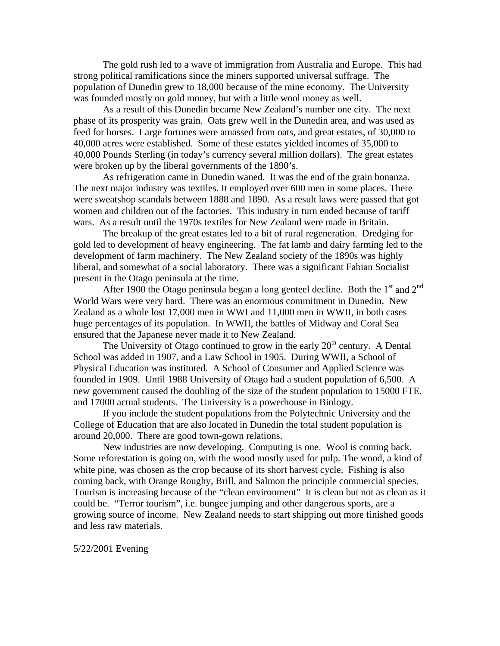The gold rush led to a wave of immigration from Australia and Europe. This had strong political ramifications since the miners supported universal suffrage. The population of Dunedin grew to 18,000 because of the mine economy. The University was founded mostly on gold money, but with a little wool money as well.

As a result of this Dunedin became New Zealand's number one city. The next phase of its prosperity was grain. Oats grew well in the Dunedin area, and was used as feed for horses. Large fortunes were amassed from oats, and great estates, of 30,000 to 40,000 acres were established. Some of these estates yielded incomes of 35,000 to 40,000 Pounds Sterling (in today's currency several million dollars). The great estates were broken up by the liberal governments of the 1890's.

As refrigeration came in Dunedin waned. It was the end of the grain bonanza. The next major industry was textiles. It employed over 600 men in some places. There were sweatshop scandals between 1888 and 1890. As a result laws were passed that got women and children out of the factories. This industry in turn ended because of tariff wars. As a result until the 1970s textiles for New Zealand were made in Britain.

The breakup of the great estates led to a bit of rural regeneration. Dredging for gold led to development of heavy engineering. The fat lamb and dairy farming led to the development of farm machinery. The New Zealand society of the 1890s was highly liberal, and somewhat of a social laboratory. There was a significant Fabian Socialist present in the Otago peninsula at the time.

After 1900 the Otago peninsula began a long genteel decline. Both the  $1<sup>st</sup>$  and  $2<sup>nd</sup>$ World Wars were very hard. There was an enormous commitment in Dunedin. New Zealand as a whole lost 17,000 men in WWI and 11,000 men in WWII, in both cases huge percentages of its population. In WWII, the battles of Midway and Coral Sea ensured that the Japanese never made it to New Zealand.

The University of Otago continued to grow in the early  $20<sup>th</sup>$  century. A Dental School was added in 1907, and a Law School in 1905. During WWII, a School of Physical Education was instituted. A School of Consumer and Applied Science was founded in 1909. Until 1988 University of Otago had a student population of 6,500. A new government caused the doubling of the size of the student population to 15000 FTE, and 17000 actual students. The University is a powerhouse in Biology.

If you include the student populations from the Polytechnic University and the College of Education that are also located in Dunedin the total student population is around 20,000. There are good town-gown relations.

New industries are now developing. Computing is one. Wool is coming back. Some reforestation is going on, with the wood mostly used for pulp. The wood, a kind of white pine, was chosen as the crop because of its short harvest cycle. Fishing is also coming back, with Orange Roughy, Brill, and Salmon the principle commercial species. Tourism is increasing because of the "clean environment" It is clean but not as clean as it could be. "Terror tourism", i.e. bungee jumping and other dangerous sports, are a growing source of income. New Zealand needs to start shipping out more finished goods and less raw materials.

5/22/2001 Evening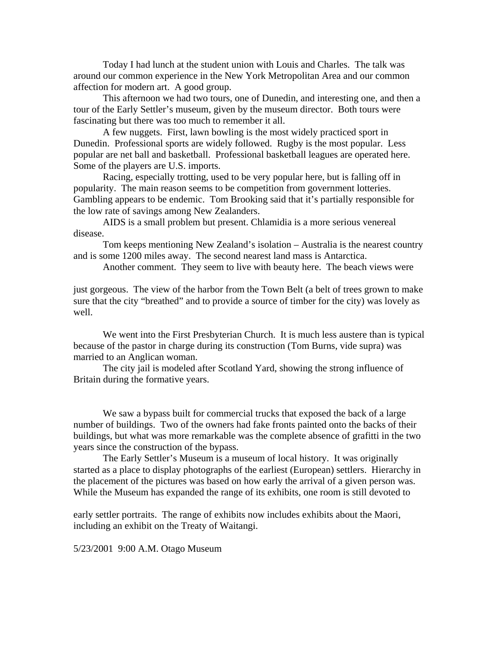Today I had lunch at the student union with Louis and Charles. The talk was around our common experience in the New York Metropolitan Area and our common affection for modern art. A good group.

 This afternoon we had two tours, one of Dunedin, and interesting one, and then a tour of the Early Settler's museum, given by the museum director. Both tours were fascinating but there was too much to remember it all.

 A few nuggets. First, lawn bowling is the most widely practiced sport in Dunedin. Professional sports are widely followed. Rugby is the most popular. Less popular are net ball and basketball. Professional basketball leagues are operated here. Some of the players are U.S. imports.

 Racing, especially trotting, used to be very popular here, but is falling off in popularity. The main reason seems to be competition from government lotteries. Gambling appears to be endemic. Tom Brooking said that it's partially responsible for the low rate of savings among New Zealanders.

 AIDS is a small problem but present. Chlamidia is a more serious venereal disease.

 Tom keeps mentioning New Zealand's isolation – Australia is the nearest country and is some 1200 miles away. The second nearest land mass is Antarctica.

Another comment. They seem to live with beauty here. The beach views were

just gorgeous. The view of the harbor from the Town Belt (a belt of trees grown to make sure that the city "breathed" and to provide a source of timber for the city) was lovely as well.

 We went into the First Presbyterian Church. It is much less austere than is typical because of the pastor in charge during its construction (Tom Burns, vide supra) was married to an Anglican woman.

 The city jail is modeled after Scotland Yard, showing the strong influence of Britain during the formative years.

 We saw a bypass built for commercial trucks that exposed the back of a large number of buildings. Two of the owners had fake fronts painted onto the backs of their buildings, but what was more remarkable was the complete absence of grafitti in the two years since the construction of the bypass.

 The Early Settler's Museum is a museum of local history. It was originally started as a place to display photographs of the earliest (European) settlers. Hierarchy in the placement of the pictures was based on how early the arrival of a given person was. While the Museum has expanded the range of its exhibits, one room is still devoted to

early settler portraits. The range of exhibits now includes exhibits about the Maori, including an exhibit on the Treaty of Waitangi.

5/23/2001 9:00 A.M. Otago Museum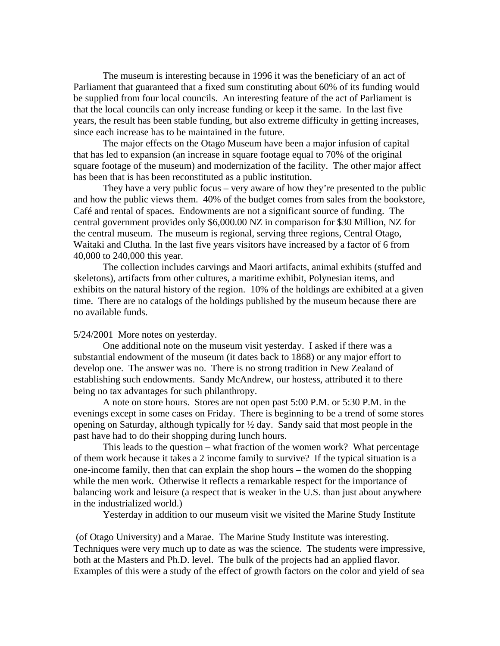The museum is interesting because in 1996 it was the beneficiary of an act of Parliament that guaranteed that a fixed sum constituting about 60% of its funding would be supplied from four local councils. An interesting feature of the act of Parliament is that the local councils can only increase funding or keep it the same. In the last five years, the result has been stable funding, but also extreme difficulty in getting increases, since each increase has to be maintained in the future.

 The major effects on the Otago Museum have been a major infusion of capital that has led to expansion (an increase in square footage equal to 70% of the original square footage of the museum) and modernization of the facility. The other major affect has been that is has been reconstituted as a public institution.

 They have a very public focus – very aware of how they're presented to the public and how the public views them. 40% of the budget comes from sales from the bookstore, Café and rental of spaces. Endowments are not a significant source of funding. The central government provides only \$6,000.00 NZ in comparison for \$30 Million, NZ for the central museum. The museum is regional, serving three regions, Central Otago, Waitaki and Clutha. In the last five years visitors have increased by a factor of 6 from 40,000 to 240,000 this year.

 The collection includes carvings and Maori artifacts, animal exhibits (stuffed and skeletons), artifacts from other cultures, a maritime exhibit, Polynesian items, and exhibits on the natural history of the region. 10% of the holdings are exhibited at a given time. There are no catalogs of the holdings published by the museum because there are no available funds.

### 5/24/2001 More notes on yesterday.

 One additional note on the museum visit yesterday. I asked if there was a substantial endowment of the museum (it dates back to 1868) or any major effort to develop one. The answer was no. There is no strong tradition in New Zealand of establishing such endowments. Sandy McAndrew, our hostess, attributed it to there being no tax advantages for such philanthropy.

 A note on store hours. Stores are not open past 5:00 P.M. or 5:30 P.M. in the evenings except in some cases on Friday. There is beginning to be a trend of some stores opening on Saturday, although typically for ½ day. Sandy said that most people in the past have had to do their shopping during lunch hours.

 This leads to the question – what fraction of the women work? What percentage of them work because it takes a 2 income family to survive? If the typical situation is a one-income family, then that can explain the shop hours – the women do the shopping while the men work. Otherwise it reflects a remarkable respect for the importance of balancing work and leisure (a respect that is weaker in the U.S. than just about anywhere in the industrialized world.)

Yesterday in addition to our museum visit we visited the Marine Study Institute

 (of Otago University) and a Marae. The Marine Study Institute was interesting. Techniques were very much up to date as was the science. The students were impressive, both at the Masters and Ph.D. level. The bulk of the projects had an applied flavor. Examples of this were a study of the effect of growth factors on the color and yield of sea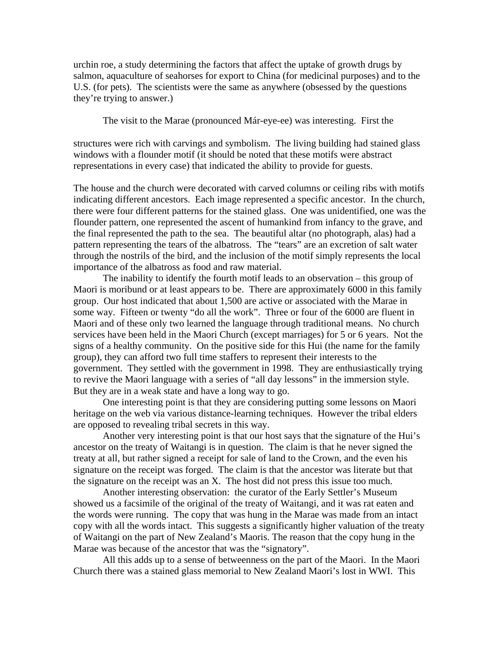urchin roe, a study determining the factors that affect the uptake of growth drugs by salmon, aquaculture of seahorses for export to China (for medicinal purposes) and to the U.S. (for pets). The scientists were the same as anywhere (obsessed by the questions they're trying to answer.)

The visit to the Marae (pronounced Már-eye-ee) was interesting. First the

structures were rich with carvings and symbolism. The living building had stained glass windows with a flounder motif (it should be noted that these motifs were abstract representations in every case) that indicated the ability to provide for guests.

The house and the church were decorated with carved columns or ceiling ribs with motifs indicating different ancestors. Each image represented a specific ancestor. In the church, there were four different patterns for the stained glass. One was unidentified, one was the flounder pattern, one represented the ascent of humankind from infancy to the grave, and the final represented the path to the sea. The beautiful altar (no photograph, alas) had a pattern representing the tears of the albatross. The "tears" are an excretion of salt water through the nostrils of the bird, and the inclusion of the motif simply represents the local importance of the albatross as food and raw material.

 The inability to identify the fourth motif leads to an observation – this group of Maori is moribund or at least appears to be. There are approximately 6000 in this family group. Our host indicated that about 1,500 are active or associated with the Marae in some way. Fifteen or twenty "do all the work". Three or four of the 6000 are fluent in Maori and of these only two learned the language through traditional means. No church services have been held in the Maori Church (except marriages) for 5 or 6 years. Not the signs of a healthy community. On the positive side for this Hui (the name for the family group), they can afford two full time staffers to represent their interests to the government. They settled with the government in 1998. They are enthusiastically trying to revive the Maori language with a series of "all day lessons" in the immersion style. But they are in a weak state and have a long way to go.

 One interesting point is that they are considering putting some lessons on Maori heritage on the web via various distance-learning techniques. However the tribal elders are opposed to revealing tribal secrets in this way.

 Another very interesting point is that our host says that the signature of the Hui's ancestor on the treaty of Waitangi is in question. The claim is that he never signed the treaty at all, but rather signed a receipt for sale of land to the Crown, and the even his signature on the receipt was forged. The claim is that the ancestor was literate but that the signature on the receipt was an X. The host did not press this issue too much.

 Another interesting observation: the curator of the Early Settler's Museum showed us a facsimile of the original of the treaty of Waitangi, and it was rat eaten and the words were running. The copy that was hung in the Marae was made from an intact copy with all the words intact. This suggests a significantly higher valuation of the treaty of Waitangi on the part of New Zealand's Maoris. The reason that the copy hung in the Marae was because of the ancestor that was the "signatory".

 All this adds up to a sense of betweenness on the part of the Maori. In the Maori Church there was a stained glass memorial to New Zealand Maori's lost in WWI. This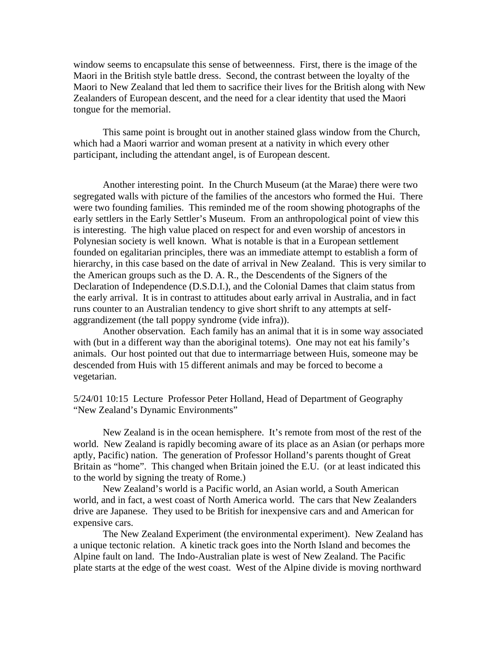window seems to encapsulate this sense of betweenness. First, there is the image of the Maori in the British style battle dress. Second, the contrast between the loyalty of the Maori to New Zealand that led them to sacrifice their lives for the British along with New Zealanders of European descent, and the need for a clear identity that used the Maori tongue for the memorial.

 This same point is brought out in another stained glass window from the Church, which had a Maori warrior and woman present at a nativity in which every other participant, including the attendant angel, is of European descent.

 Another interesting point. In the Church Museum (at the Marae) there were two segregated walls with picture of the families of the ancestors who formed the Hui. There were two founding families. This reminded me of the room showing photographs of the early settlers in the Early Settler's Museum. From an anthropological point of view this is interesting. The high value placed on respect for and even worship of ancestors in Polynesian society is well known. What is notable is that in a European settlement founded on egalitarian principles, there was an immediate attempt to establish a form of hierarchy, in this case based on the date of arrival in New Zealand. This is very similar to the American groups such as the D. A. R., the Descendents of the Signers of the Declaration of Independence (D.S.D.I.), and the Colonial Dames that claim status from the early arrival. It is in contrast to attitudes about early arrival in Australia, and in fact runs counter to an Australian tendency to give short shrift to any attempts at selfaggrandizement (the tall poppy syndrome (vide infra)).

 Another observation. Each family has an animal that it is in some way associated with (but in a different way than the aboriginal totems). One may not eat his family's animals. Our host pointed out that due to intermarriage between Huis, someone may be descended from Huis with 15 different animals and may be forced to become a vegetarian.

5/24/01 10:15 Lecture Professor Peter Holland, Head of Department of Geography "New Zealand's Dynamic Environments"

 New Zealand is in the ocean hemisphere. It's remote from most of the rest of the world. New Zealand is rapidly becoming aware of its place as an Asian (or perhaps more aptly, Pacific) nation. The generation of Professor Holland's parents thought of Great Britain as "home". This changed when Britain joined the E.U. (or at least indicated this to the world by signing the treaty of Rome.)

 New Zealand's world is a Pacific world, an Asian world, a South American world, and in fact, a west coast of North America world. The cars that New Zealanders drive are Japanese. They used to be British for inexpensive cars and and American for expensive cars.

 The New Zealand Experiment (the environmental experiment). New Zealand has a unique tectonic relation. A kinetic track goes into the North Island and becomes the Alpine fault on land. The Indo-Australian plate is west of New Zealand. The Pacific plate starts at the edge of the west coast. West of the Alpine divide is moving northward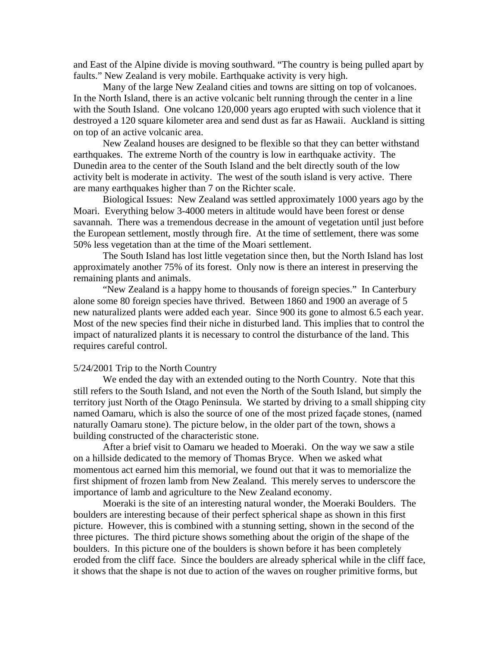and East of the Alpine divide is moving southward. "The country is being pulled apart by faults." New Zealand is very mobile. Earthquake activity is very high.

 Many of the large New Zealand cities and towns are sitting on top of volcanoes. In the North Island, there is an active volcanic belt running through the center in a line with the South Island. One volcano 120,000 years ago erupted with such violence that it destroyed a 120 square kilometer area and send dust as far as Hawaii. Auckland is sitting on top of an active volcanic area.

 New Zealand houses are designed to be flexible so that they can better withstand earthquakes. The extreme North of the country is low in earthquake activity. The Dunedin area to the center of the South Island and the belt directly south of the low activity belt is moderate in activity. The west of the south island is very active. There are many earthquakes higher than 7 on the Richter scale.

 Biological Issues: New Zealand was settled approximately 1000 years ago by the Moari. Everything below 3-4000 meters in altitude would have been forest or dense savannah. There was a tremendous decrease in the amount of vegetation until just before the European settlement, mostly through fire. At the time of settlement, there was some 50% less vegetation than at the time of the Moari settlement.

 The South Island has lost little vegetation since then, but the North Island has lost approximately another 75% of its forest. Only now is there an interest in preserving the remaining plants and animals.

 "New Zealand is a happy home to thousands of foreign species." In Canterbury alone some 80 foreign species have thrived. Between 1860 and 1900 an average of 5 new naturalized plants were added each year. Since 900 its gone to almost 6.5 each year. Most of the new species find their niche in disturbed land. This implies that to control the impact of naturalized plants it is necessary to control the disturbance of the land. This requires careful control.

## 5/24/2001 Trip to the North Country

 We ended the day with an extended outing to the North Country. Note that this still refers to the South Island, and not even the North of the South Island, but simply the territory just North of the Otago Peninsula. We started by driving to a small shipping city named Oamaru, which is also the source of one of the most prized façade stones, (named naturally Oamaru stone). The picture below, in the older part of the town, shows a building constructed of the characteristic stone.

 After a brief visit to Oamaru we headed to Moeraki. On the way we saw a stile on a hillside dedicated to the memory of Thomas Bryce. When we asked what momentous act earned him this memorial, we found out that it was to memorialize the first shipment of frozen lamb from New Zealand. This merely serves to underscore the importance of lamb and agriculture to the New Zealand economy.

 Moeraki is the site of an interesting natural wonder, the Moeraki Boulders. The boulders are interesting because of their perfect spherical shape as shown in this first picture. However, this is combined with a stunning setting, shown in the second of the three pictures. The third picture shows something about the origin of the shape of the boulders. In this picture one of the boulders is shown before it has been completely eroded from the cliff face. Since the boulders are already spherical while in the cliff face, it shows that the shape is not due to action of the waves on rougher primitive forms, but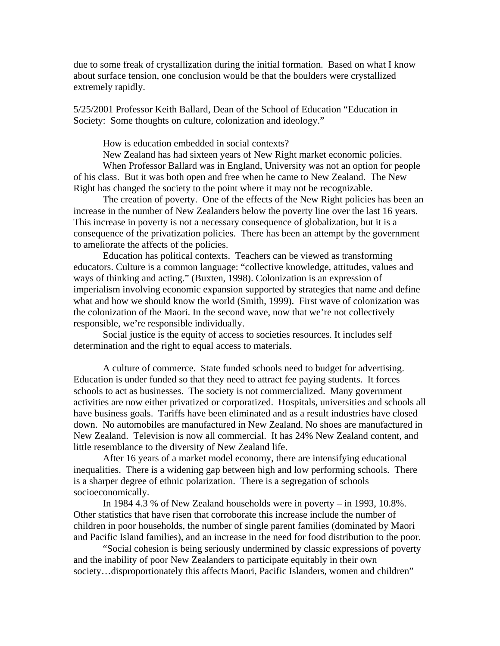due to some freak of crystallization during the initial formation. Based on what I know about surface tension, one conclusion would be that the boulders were crystallized extremely rapidly.

5/25/2001 Professor Keith Ballard, Dean of the School of Education "Education in Society: Some thoughts on culture, colonization and ideology."

How is education embedded in social contexts?

New Zealand has had sixteen years of New Right market economic policies.

 When Professor Ballard was in England, University was not an option for people of his class. But it was both open and free when he came to New Zealand. The New Right has changed the society to the point where it may not be recognizable.

 The creation of poverty. One of the effects of the New Right policies has been an increase in the number of New Zealanders below the poverty line over the last 16 years. This increase in poverty is not a necessary consequence of globalization, but it is a consequence of the privatization policies. There has been an attempt by the government to ameliorate the affects of the policies.

 Education has political contexts. Teachers can be viewed as transforming educators. Culture is a common language: "collective knowledge, attitudes, values and ways of thinking and acting." (Buxten, 1998). Colonization is an expression of imperialism involving economic expansion supported by strategies that name and define what and how we should know the world (Smith, 1999). First wave of colonization was the colonization of the Maori. In the second wave, now that we're not collectively responsible, we're responsible individually.

 Social justice is the equity of access to societies resources. It includes self determination and the right to equal access to materials.

A culture of commerce. State funded schools need to budget for advertising. Education is under funded so that they need to attract fee paying students. It forces schools to act as businesses. The society is not commercialized. Many government activities are now either privatized or corporatized. Hospitals, universities and schools all have business goals. Tariffs have been eliminated and as a result industries have closed down. No automobiles are manufactured in New Zealand. No shoes are manufactured in New Zealand. Television is now all commercial. It has 24% New Zealand content, and little resemblance to the diversity of New Zealand life.

 After 16 years of a market model economy, there are intensifying educational inequalities. There is a widening gap between high and low performing schools. There is a sharper degree of ethnic polarization. There is a segregation of schools socioeconomically.

 In 1984 4.3 % of New Zealand households were in poverty – in 1993, 10.8%. Other statistics that have risen that corroborate this increase include the number of children in poor households, the number of single parent families (dominated by Maori and Pacific Island families), and an increase in the need for food distribution to the poor.

 "Social cohesion is being seriously undermined by classic expressions of poverty and the inability of poor New Zealanders to participate equitably in their own society...disproportionately this affects Maori, Pacific Islanders, women and children"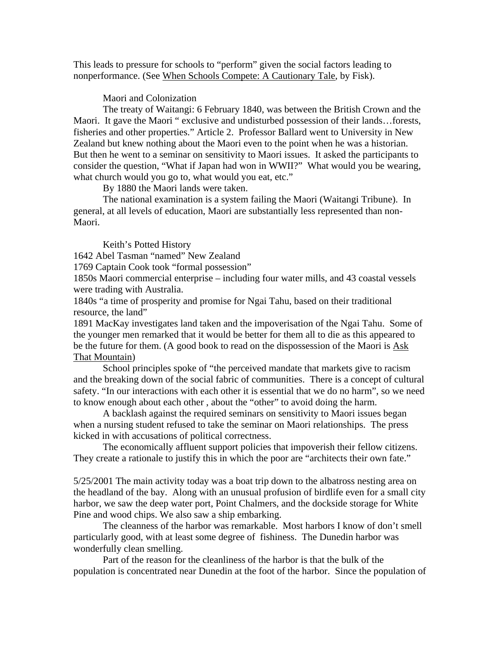This leads to pressure for schools to "perform" given the social factors leading to nonperformance. (See When Schools Compete: A Cautionary Tale, by Fisk).

Maori and Colonization

The treaty of Waitangi: 6 February 1840, was between the British Crown and the Maori. It gave the Maori " exclusive and undisturbed possession of their lands…forests, fisheries and other properties." Article 2. Professor Ballard went to University in New Zealand but knew nothing about the Maori even to the point when he was a historian. But then he went to a seminar on sensitivity to Maori issues. It asked the participants to consider the question, "What if Japan had won in WWII?" What would you be wearing, what church would you go to, what would you eat, etc."

By 1880 the Maori lands were taken.

The national examination is a system failing the Maori (Waitangi Tribune). In general, at all levels of education, Maori are substantially less represented than non-Maori.

Keith's Potted History

1642 Abel Tasman "named" New Zealand

1769 Captain Cook took "formal possession"

1850s Maori commercial enterprise – including four water mills, and 43 coastal vessels were trading with Australia.

1840s "a time of prosperity and promise for Ngai Tahu, based on their traditional resource, the land"

1891 MacKay investigates land taken and the impoverisation of the Ngai Tahu. Some of the younger men remarked that it would be better for them all to die as this appeared to be the future for them. (A good book to read on the dispossession of the Maori is Ask That Mountain)

 School principles spoke of "the perceived mandate that markets give to racism and the breaking down of the social fabric of communities. There is a concept of cultural safety. "In our interactions with each other it is essential that we do no harm", so we need to know enough about each other , about the "other" to avoid doing the harm.

 A backlash against the required seminars on sensitivity to Maori issues began when a nursing student refused to take the seminar on Maori relationships. The press kicked in with accusations of political correctness.

 The economically affluent support policies that impoverish their fellow citizens. They create a rationale to justify this in which the poor are "architects their own fate."

5/25/2001 The main activity today was a boat trip down to the albatross nesting area on the headland of the bay. Along with an unusual profusion of birdlife even for a small city harbor, we saw the deep water port, Point Chalmers, and the dockside storage for White Pine and wood chips. We also saw a ship embarking.

 The cleanness of the harbor was remarkable. Most harbors I know of don't smell particularly good, with at least some degree of fishiness. The Dunedin harbor was wonderfully clean smelling.

 Part of the reason for the cleanliness of the harbor is that the bulk of the population is concentrated near Dunedin at the foot of the harbor. Since the population of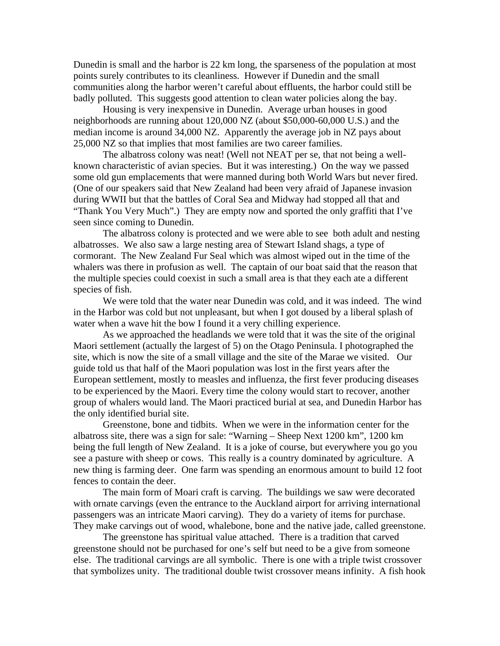Dunedin is small and the harbor is 22 km long, the sparseness of the population at most points surely contributes to its cleanliness. However if Dunedin and the small communities along the harbor weren't careful about effluents, the harbor could still be badly polluted. This suggests good attention to clean water policies along the bay.

 Housing is very inexpensive in Dunedin. Average urban houses in good neighborhoods are running about 120,000 NZ (about \$50,000-60,000 U.S.) and the median income is around 34,000 NZ. Apparently the average job in NZ pays about 25,000 NZ so that implies that most families are two career families.

 The albatross colony was neat! (Well not NEAT per se, that not being a wellknown characteristic of avian species. But it was interesting.) On the way we passed some old gun emplacements that were manned during both World Wars but never fired. (One of our speakers said that New Zealand had been very afraid of Japanese invasion during WWII but that the battles of Coral Sea and Midway had stopped all that and "Thank You Very Much".) They are empty now and sported the only graffiti that I've seen since coming to Dunedin.

 The albatross colony is protected and we were able to see both adult and nesting albatrosses. We also saw a large nesting area of Stewart Island shags, a type of cormorant. The New Zealand Fur Seal which was almost wiped out in the time of the whalers was there in profusion as well. The captain of our boat said that the reason that the multiple species could coexist in such a small area is that they each ate a different species of fish.

 We were told that the water near Dunedin was cold, and it was indeed. The wind in the Harbor was cold but not unpleasant, but when I got doused by a liberal splash of water when a wave hit the bow I found it a very chilling experience.

 As we approached the headlands we were told that it was the site of the original Maori settlement (actually the largest of 5) on the Otago Peninsula. I photographed the site, which is now the site of a small village and the site of the Marae we visited. Our guide told us that half of the Maori population was lost in the first years after the European settlement, mostly to measles and influenza, the first fever producing diseases to be experienced by the Maori. Every time the colony would start to recover, another group of whalers would land. The Maori practiced burial at sea, and Dunedin Harbor has the only identified burial site.

 Greenstone, bone and tidbits. When we were in the information center for the albatross site, there was a sign for sale: "Warning – Sheep Next 1200 km", 1200 km being the full length of New Zealand. It is a joke of course, but everywhere you go you see a pasture with sheep or cows. This really is a country dominated by agriculture. A new thing is farming deer. One farm was spending an enormous amount to build 12 foot fences to contain the deer.

 The main form of Moari craft is carving. The buildings we saw were decorated with ornate carvings (even the entrance to the Auckland airport for arriving international passengers was an intricate Maori carving). They do a variety of items for purchase. They make carvings out of wood, whalebone, bone and the native jade, called greenstone.

 The greenstone has spiritual value attached. There is a tradition that carved greenstone should not be purchased for one's self but need to be a give from someone else. The traditional carvings are all symbolic. There is one with a triple twist crossover that symbolizes unity. The traditional double twist crossover means infinity. A fish hook